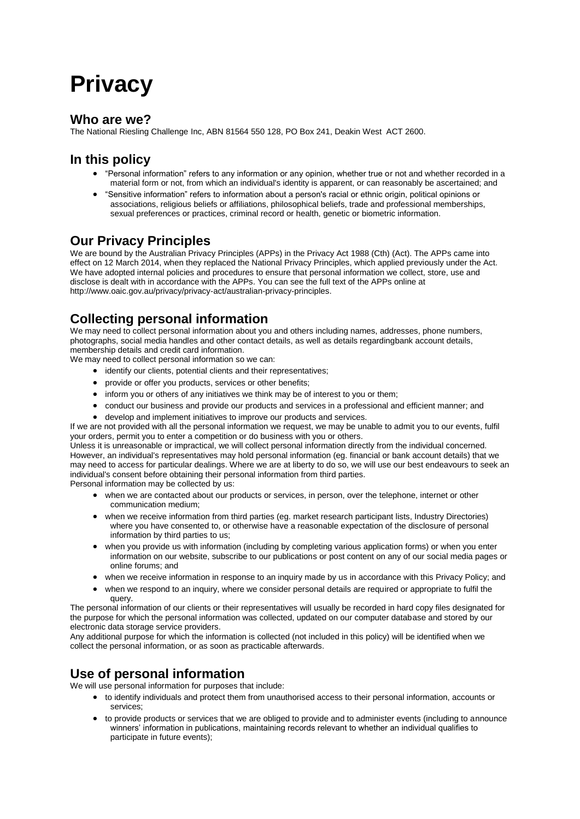# **Privacy**

#### **Who are we?**

The National Riesling Challenge Inc, ABN 81564 550 128, PO Box 241, Deakin West ACT 2600.

# **In this policy**

- "Personal information" refers to any information or any opinion, whether true or not and whether recorded in a material form or not, from which an individual's identity is apparent, or can reasonably be ascertained; and
- "Sensitive information" refers to information about a person's racial or ethnic origin, political opinions or associations, religious beliefs or affiliations, philosophical beliefs, trade and professional memberships, sexual preferences or practices, criminal record or health, genetic or biometric information.

## **Our Privacy Principles**

We are bound by the Australian Privacy Principles (APPs) in the Privacy Act 1988 (Cth) (Act). The APPs came into effect on 12 March 2014, when they replaced the National Privacy Principles, which applied previously under the Act. We have adopted internal policies and procedures to ensure that personal information we collect, store, use and disclose is dealt with in accordance with the APPs. You can see the full text of the APPs online at [http://www.oaic.gov.au/privacy/privacy-act/australian-privacy-principles.](http://www.oaic.gov.au/privacy/privacy-act/australian-privacy-principles)

# **Collecting personal information**

We may need to collect personal information about you and others including names, addresses, phone numbers, photographs, social media handles and other contact details, as well as details regardingbank account details, membership details and credit card information.

We may need to collect personal information so we can:

- identify our clients, potential clients and their representatives;
- provide or offer you products, services or other benefits;
- inform you or others of any initiatives we think may be of interest to you or them;
- conduct our business and provide our products and services in a professional and efficient manner; and
- develop and implement initiatives to improve our products and services.

If we are not provided with all the personal information we request, we may be unable to admit you to our events, fulfil your orders, permit you to enter a competition or do business with you or others.

Unless it is unreasonable or impractical, we will collect personal information directly from the individual concerned. However, an individual's representatives may hold personal information (eg. financial or bank account details) that we may need to access for particular dealings. Where we are at liberty to do so, we will use our best endeavours to seek an individual's consent before obtaining their personal information from third parties.

Personal information may be collected by us:

- when we are contacted about our products or services, in person, over the telephone, internet or other communication medium;
- when we receive information from third parties (eg. market research participant lists, Industry Directories) where you have consented to, or otherwise have a reasonable expectation of the disclosure of personal information by third parties to us;
- when you provide us with information (including by completing various application forms) or when you enter information on our website, subscribe to our publications or post content on any of our social media pages or online forums; and
- when we receive information in response to an inquiry made by us in accordance with this Privacy Policy; and
- when we respond to an inquiry, where we consider personal details are required or appropriate to fulfil the query.

The personal information of our clients or their representatives will usually be recorded in hard copy files designated for the purpose for which the personal information was collected, updated on our computer database and stored by our electronic data storage service providers.

Any additional purpose for which the information is collected (not included in this policy) will be identified when we collect the personal information, or as soon as practicable afterwards.

# **Use of personal information**

We will use personal information for purposes that include:

- to identify individuals and protect them from unauthorised access to their personal information, accounts or services;
- to provide products or services that we are obliged to provide and to administer events (including to announce winners' information in publications, maintaining records relevant to whether an individual qualifies to participate in future events);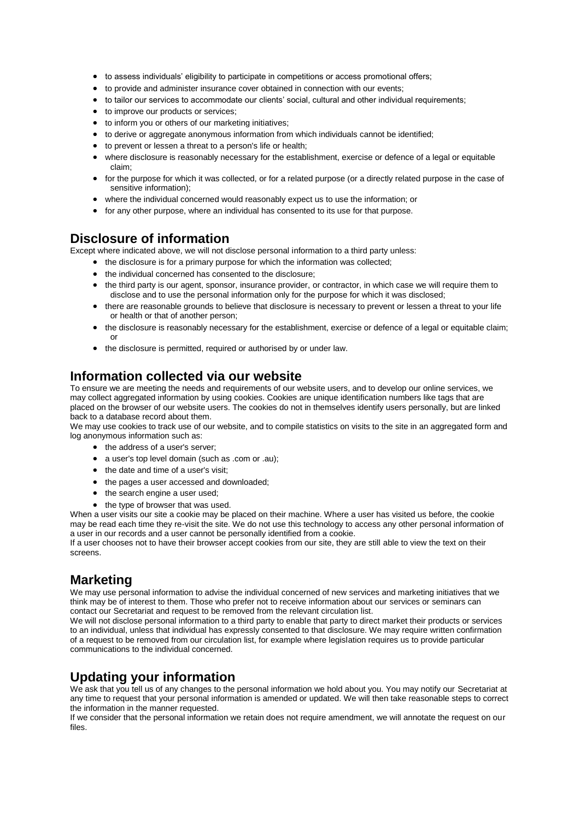- to assess individuals' eligibility to participate in competitions or access promotional offers;
- to provide and administer insurance cover obtained in connection with our events;
- to tailor our services to accommodate our clients' social, cultural and other individual requirements;
- $\bullet$  to improve our products or services;
- to inform you or others of our marketing initiatives;
- to derive or aggregate anonymous information from which individuals cannot be identified;
- to prevent or lessen a threat to a person's life or health;
- where disclosure is reasonably necessary for the establishment, exercise or defence of a legal or equitable claim;
- for the purpose for which it was collected, or for a related purpose (or a directly related purpose in the case of sensitive information);
- where the individual concerned would reasonably expect us to use the information; or
- for any other purpose, where an individual has consented to its use for that purpose.

#### **Disclosure of information**

Except where indicated above, we will not disclose personal information to a third party unless:

- $\bullet$  the disclosure is for a primary purpose for which the information was collected:
- the individual concerned has consented to the disclosure:
- the third party is our agent, sponsor, insurance provider, or contractor, in which case we will require them to disclose and to use the personal information only for the purpose for which it was disclosed;
- there are reasonable grounds to believe that disclosure is necessary to prevent or lessen a threat to your life or health or that of another person;
- the disclosure is reasonably necessary for the establishment, exercise or defence of a legal or equitable claim; or
- the disclosure is permitted, required or authorised by or under law.

#### **Information collected via our website**

To ensure we are meeting the needs and requirements of our website users, and to develop our online services, we may collect aggregated information by using cookies. Cookies are unique identification numbers like tags that are placed on the browser of our website users. The cookies do not in themselves identify users personally, but are linked back to a database record about them.

We may use cookies to track use of our website, and to compile statistics on visits to the site in an aggregated form and log anonymous information such as:

- the address of a user's server;
- a user's top level domain (such as .com or .au);
- the date and time of a user's visit;
- the pages a user accessed and downloaded;
- the search engine a user used;
- the type of browser that was used.

When a user visits our site a cookie may be placed on their machine. Where a user has visited us before, the cookie may be read each time they re-visit the site. We do not use this technology to access any other personal information of a user in our records and a user cannot be personally identified from a cookie.

If a user chooses not to have their browser accept cookies from our site, they are still able to view the text on their screens.

#### **Marketing**

We may use personal information to advise the individual concerned of new services and marketing initiatives that we think may be of interest to them. Those who prefer not to receive information about our services or seminars can contact our Secretariat and request to be removed from the relevant circulation list.

We will not disclose personal information to a third party to enable that party to direct market their products or services to an individual, unless that individual has expressly consented to that disclosure. We may require written confirmation of a request to be removed from our circulation list, for example where legislation requires us to provide particular communications to the individual concerned.

#### **Updating your information**

We ask that you tell us of any changes to the personal information we hold about you. You may notify our Secretariat at any time to request that your personal information is amended or updated. We will then take reasonable steps to correct the information in the manner requested.

If we consider that the personal information we retain does not require amendment, we will annotate the request on our files.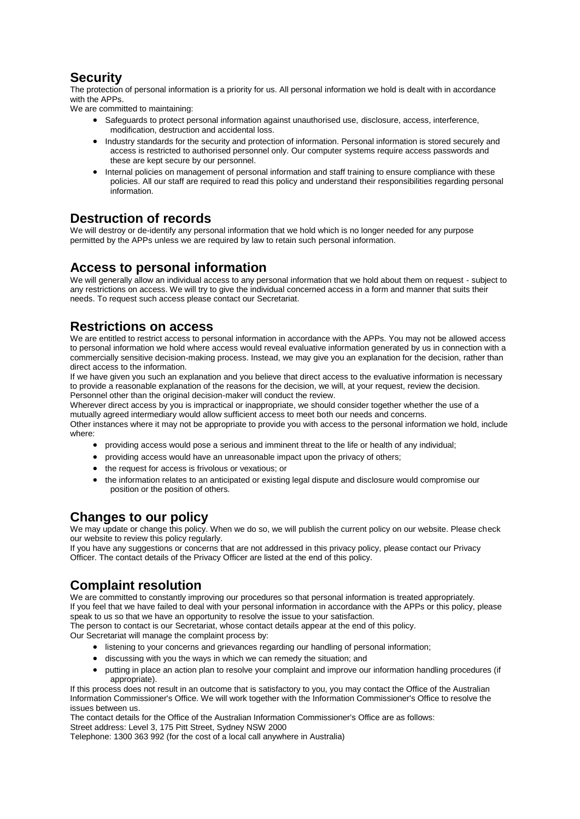# **Security**

The protection of personal information is a priority for us. All personal information we hold is dealt with in accordance with the APPs.

We are committed to maintaining:

- Safeguards to protect personal information against unauthorised use, disclosure, access, interference, modification, destruction and accidental loss.
- Industry standards for the security and protection of information. Personal information is stored securely and access is restricted to authorised personnel only. Our computer systems require access passwords and these are kept secure by our personnel.
- Internal policies on management of personal information and staff training to ensure compliance with these policies. All our staff are required to read this policy and understand their responsibilities regarding personal information.

#### **Destruction of records**

We will destroy or de-identify any personal information that we hold which is no longer needed for any purpose permitted by the APPs unless we are required by law to retain such personal information.

# **Access to personal information**

We will generally allow an individual access to any personal information that we hold about them on request - subject to any restrictions on access. We will try to give the individual concerned access in a form and manner that suits their needs. To request such access please contact our Secretariat.

## **Restrictions on access**

We are entitled to restrict access to personal information in accordance with the APPs. You may not be allowed access to personal information we hold where access would reveal evaluative information generated by us in connection with a commercially sensitive decision-making process. Instead, we may give you an explanation for the decision, rather than direct access to the information.

If we have given you such an explanation and you believe that direct access to the evaluative information is necessary to provide a reasonable explanation of the reasons for the decision, we will, at your request, review the decision. Personnel other than the original decision-maker will conduct the review.

Wherever direct access by you is impractical or inappropriate, we should consider together whether the use of a mutually agreed intermediary would allow sufficient access to meet both our needs and concerns.

Other instances where it may not be appropriate to provide you with access to the personal information we hold, include where:

- providing access would pose a serious and imminent threat to the life or health of any individual;
- $\bullet$  providing access would have an unreasonable impact upon the privacy of others;
- the request for access is frivolous or vexatious; or
- the information relates to an anticipated or existing legal dispute and disclosure would compromise our position or the position of others.

# **Changes to our policy**

We may update or change this policy. When we do so, we will publish the current policy on our website. Please check our website to review this policy regularly.

If you have any suggestions or concerns that are not addressed in this privacy policy, please contact our Privacy Officer. The contact details of the Privacy Officer are listed at the end of this policy.

# **Complaint resolution**

We are committed to constantly improving our procedures so that personal information is treated appropriately. If you feel that we have failed to deal with your personal information in accordance with the APPs or this policy, please speak to us so that we have an opportunity to resolve the issue to your satisfaction.

The person to contact is our Secretariat, whose contact details appear at the end of this policy.

Our Secretariat will manage the complaint process by:

- listening to your concerns and grievances regarding our handling of personal information;
- discussing with you the ways in which we can remedy the situation; and
- putting in place an action plan to resolve your complaint and improve our information handling procedures (if appropriate).

If this process does not result in an outcome that is satisfactory to you, you may contact the Office of the Australian Information Commissioner's Office. We will work together with the Information Commissioner's Office to resolve the issues between us.

The contact details for the Office of the Australian Information Commissioner's Office are as follows: Street address: Level 3, 175 Pitt Street, Sydney NSW 2000

Telephone: 1300 363 992 (for the cost of a local call anywhere in Australia)